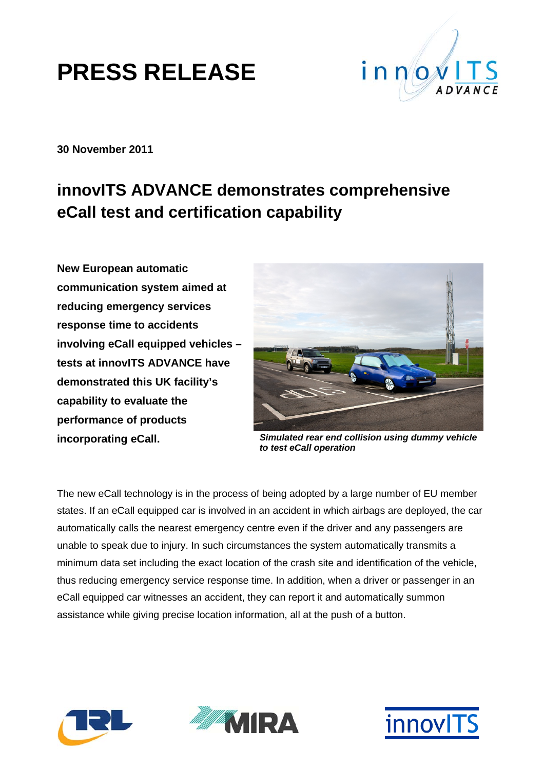

**30 November 2011** 

#### **innovITS ADVANCE demonstrates comprehensive eCall test and certification capability**

**New European automatic communication system aimed at reducing emergency services response time to accidents involving eCall equipped vehicles – tests at innovITS ADVANCE have demonstrated this UK facility's capability to evaluate the performance of products incorporating eCall.** 



*Simulated rear end collision using dummy vehicle to test eCall operation* 

The new eCall technology is in the process of being adopted by a large number of EU member states. If an eCall equipped car is involved in an accident in which airbags are deployed, the car automatically calls the nearest emergency centre even if the driver and any passengers are unable to speak due to injury. In such circumstances the system automatically transmits a minimum data set including the exact location of the crash site and identification of the vehicle, thus reducing emergency service response time. In addition, when a driver or passenger in an eCall equipped car witnesses an accident, they can report it and automatically summon assistance while giving precise location information, all at the push of a button.





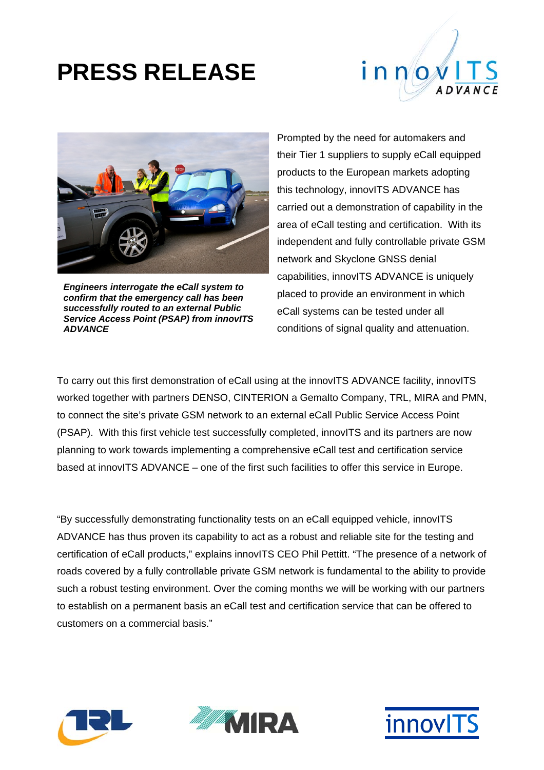



*Engineers interrogate the eCall system to confirm that the emergency call has been successfully routed to an external Public Service Access Point (PSAP) from innovITS ADVANCE* 

Prompted by the need for automakers and their Tier 1 suppliers to supply eCall equipped products to the European markets adopting this technology, innovITS ADVANCE has carried out a demonstration of capability in the area of eCall testing and certification. With its independent and fully controllable private GSM network and Skyclone GNSS denial capabilities, innovITS ADVANCE is uniquely placed to provide an environment in which eCall systems can be tested under all conditions of signal quality and attenuation.

To carry out this first demonstration of eCall using at the innovITS ADVANCE facility, innovITS worked together with partners DENSO, CINTERION a Gemalto Company, TRL, MIRA and PMN, to connect the site's private GSM network to an external eCall Public Service Access Point (PSAP). With this first vehicle test successfully completed, innovITS and its partners are now planning to work towards implementing a comprehensive eCall test and certification service based at innovITS ADVANCE – one of the first such facilities to offer this service in Europe.

"By successfully demonstrating functionality tests on an eCall equipped vehicle, innovITS ADVANCE has thus proven its capability to act as a robust and reliable site for the testing and certification of eCall products," explains innovITS CEO Phil Pettitt. "The presence of a network of roads covered by a fully controllable private GSM network is fundamental to the ability to provide such a robust testing environment. Over the coming months we will be working with our partners to establish on a permanent basis an eCall test and certification service that can be offered to customers on a commercial basis."





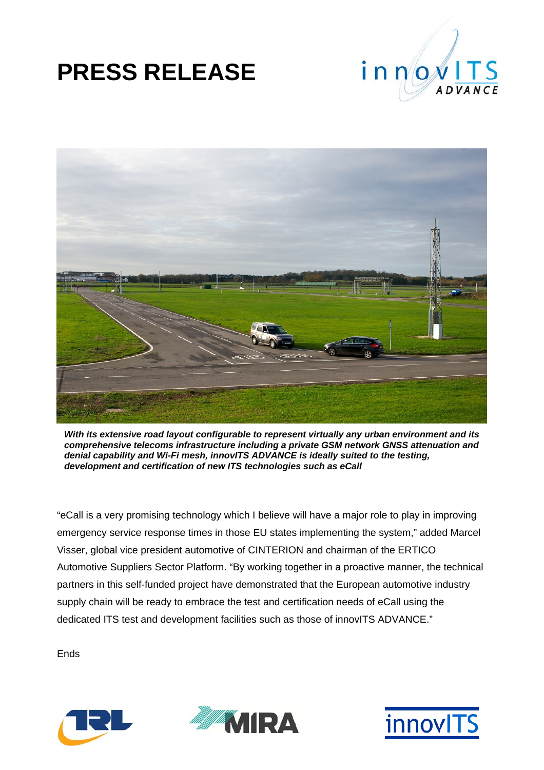



*With its extensive road layout configurable to represent virtually any urban environment and its comprehensive telecoms infrastructure including a private GSM network GNSS attenuation and denial capability and Wi-Fi mesh, innovITS ADVANCE is ideally suited to the testing, development and certification of new ITS technologies such as eCall* 

"eCall is a very promising technology which I believe will have a major role to play in improving emergency service response times in those EU states implementing the system," added Marcel Visser, global vice president automotive of CINTERION and chairman of the ERTICO Automotive Suppliers Sector Platform. "By working together in a proactive manner, the technical partners in this self-funded project have demonstrated that the European automotive industry supply chain will be ready to embrace the test and certification needs of eCall using the dedicated ITS test and development facilities such as those of innovITS ADVANCE."

Ends